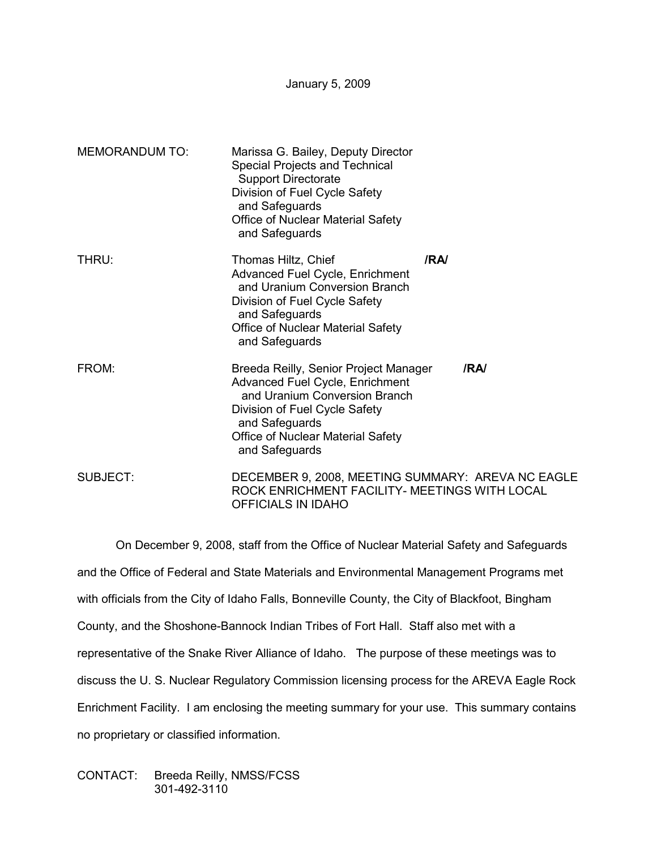January 5, 2009

| <b>MEMORANDUM TO:</b> | Marissa G. Bailey, Deputy Director<br>Special Projects and Technical<br><b>Support Directorate</b><br>Division of Fuel Cycle Safety<br>and Safeguards<br><b>Office of Nuclear Material Safety</b><br>and Safeguards        |     |
|-----------------------|----------------------------------------------------------------------------------------------------------------------------------------------------------------------------------------------------------------------------|-----|
| THRU:                 | Thomas Hiltz, Chief<br><b>Advanced Fuel Cycle, Enrichment</b><br>and Uranium Conversion Branch<br>Division of Fuel Cycle Safety<br>and Safeguards<br><b>Office of Nuclear Material Safety</b><br>and Safeguards            | /RA |
| FROM:                 | Breeda Reilly, Senior Project Manager<br><b>Advanced Fuel Cycle, Enrichment</b><br>and Uranium Conversion Branch<br>Division of Fuel Cycle Safety<br>and Safeguards<br>Office of Nuclear Material Safety<br>and Safeguards | /RA |
| <b>SUBJECT:</b>       | DECEMBER 9, 2008, MEETING SUMMARY: AREVA NC EAGLE<br>ROCK ENRICHMENT FACILITY- MEETINGS WITH LOCAL<br>OFFICIALS IN IDAHO                                                                                                   |     |

 On December 9, 2008, staff from the Office of Nuclear Material Safety and Safeguards and the Office of Federal and State Materials and Environmental Management Programs met with officials from the City of Idaho Falls, Bonneville County, the City of Blackfoot, Bingham County, and the Shoshone-Bannock Indian Tribes of Fort Hall. Staff also met with a representative of the Snake River Alliance of Idaho. The purpose of these meetings was to discuss the U. S. Nuclear Regulatory Commission licensing process for the AREVA Eagle Rock Enrichment Facility. I am enclosing the meeting summary for your use. This summary contains no proprietary or classified information.

CONTACT: Breeda Reilly, NMSS/FCSS 301-492-3110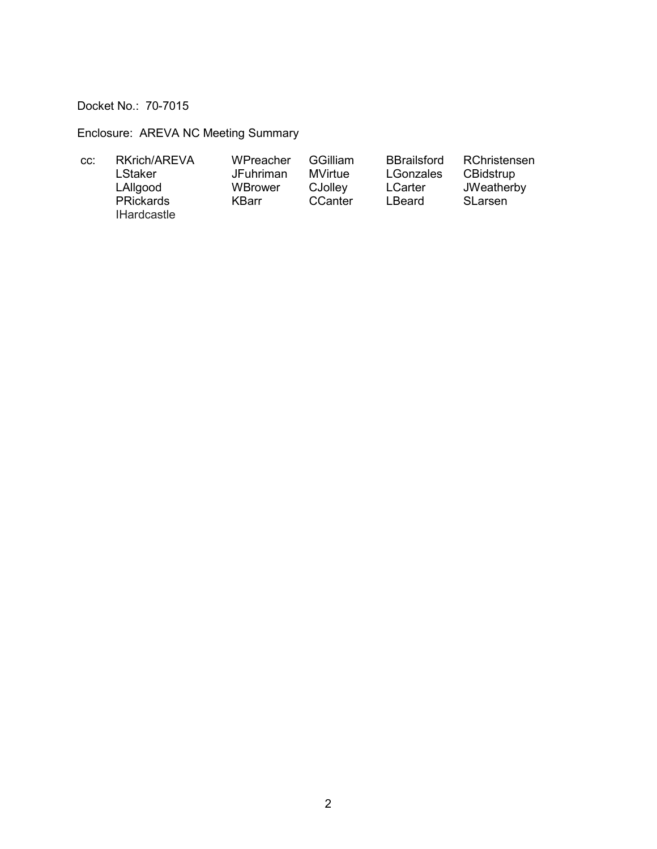Docket No.: 70-7015

Enclosure: AREVA NC Meeting Summary

| CC: | RKrich/AREVA       | WPreacher        | <b>GGilliam</b> | <b>BBrailsford</b> | RChristensen   |
|-----|--------------------|------------------|-----------------|--------------------|----------------|
|     | LStaker            | <b>JFuhriman</b> | MVirtue         | LGonzales          | CBidstrup      |
|     | LAllgood           | WBrower          | CJolley         | <b>LCarter</b>     | JWeatherby     |
|     | <b>PRickards</b>   | KBarr            | CCanter         | LBeard             | <b>SLarsen</b> |
|     | <b>IHardcastle</b> |                  |                 |                    |                |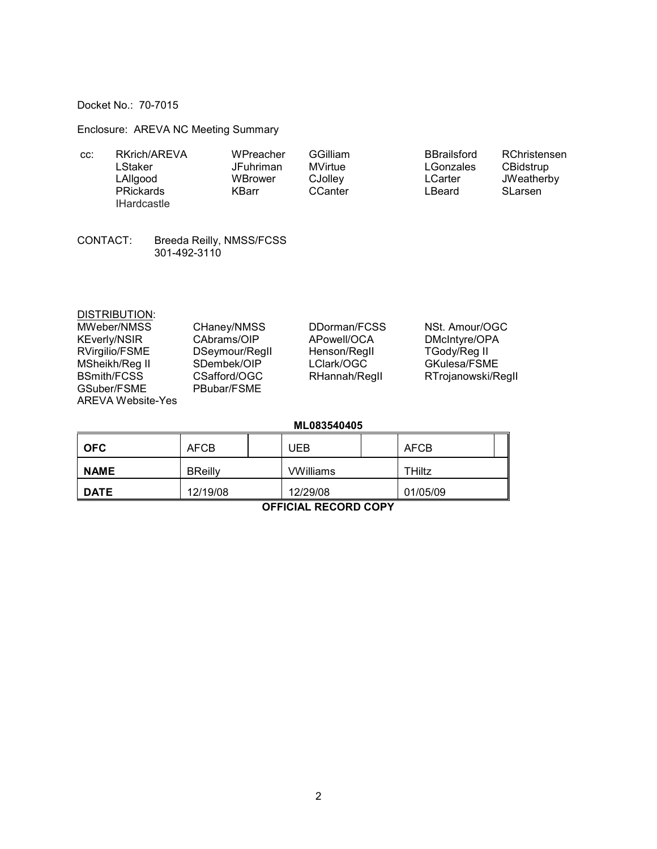Docket No.: 70-7015

Enclosure: AREVA NC Meeting Summary

| CC. | RKrich/AREVA       | WPreacher | <b>GGilliam</b> | <b>BBrailsford</b> | RChristensen   |
|-----|--------------------|-----------|-----------------|--------------------|----------------|
|     | LStaker            | JFuhriman | MVirtue         | LGonzales          | CBidstrup      |
|     | LAllgood           | WBrower   | CJolley         | LCarter            | JWeatherby     |
|     | <b>PRickards</b>   | KBarr     | CCanter         | LBeard             | <b>SLarsen</b> |
|     | <b>IHardcastle</b> |           |                 |                    |                |

CONTACT: Breeda Reilly, NMSS/FCSS<br>301-492-3110

| <b>DISTRIBUTION:</b>     |                |               |                    |
|--------------------------|----------------|---------------|--------------------|
| MWeber/NMSS              | CHaney/NMSS    | DDorman/FCSS  | NSt. Amour/OGC     |
| <b>KEverly/NSIR</b>      | CAbrams/OIP    | APowell/OCA   | DMcIntyre/OPA      |
| RVirgilio/FSME           | DSeymour/Regll | Henson/Regil  | TGody/Reg II       |
| MSheikh/Reg II           | SDembek/OIP    | LClark/OGC    | GKulesa/FSME       |
| <b>BSmith/FCSS</b>       | CSafford/OGC   | RHannah/Regll | RTrojanowski/Regll |
| GSuber/FSME              | PBubar/FSME    |               |                    |
| <b>AREVA Website-Yes</b> |                |               |                    |

ML083540405

| <b>OFC</b>  | AFCB           | UEB              | AFCB          |  |
|-------------|----------------|------------------|---------------|--|
| <b>NAME</b> | <b>BReilly</b> | <b>VWilliams</b> | <b>THiltz</b> |  |
| <b>DATE</b> | 12/19/08       | 12/29/08         | 01/05/09      |  |

**OFFICIAL RECORD COPY**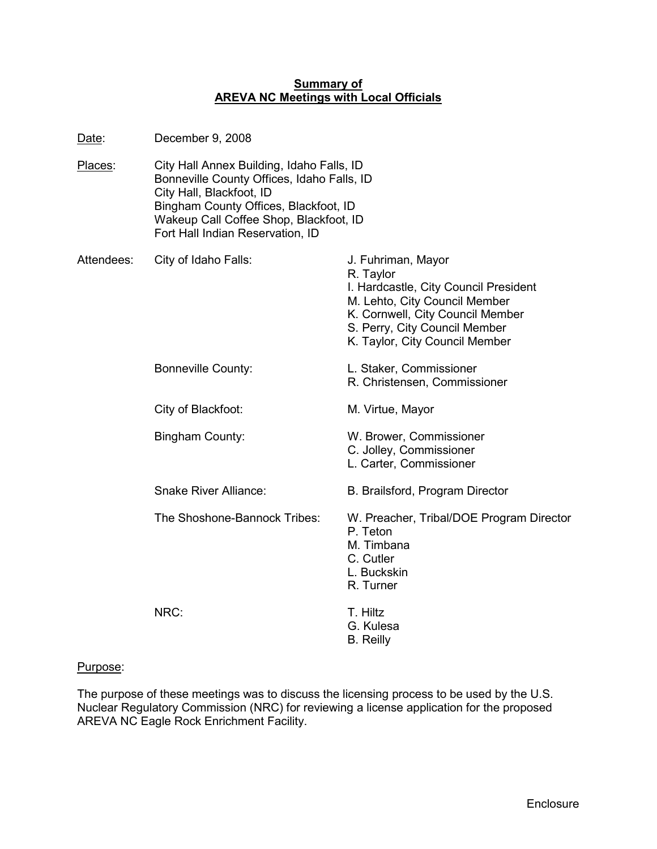### **Summary of AREVA NC Meetings with Local Officials**

| <u>Date:</u> | December 9, 2008                                                                                                                                                                                                                           |                                                                                                                                                                                                                  |
|--------------|--------------------------------------------------------------------------------------------------------------------------------------------------------------------------------------------------------------------------------------------|------------------------------------------------------------------------------------------------------------------------------------------------------------------------------------------------------------------|
| Places:      | City Hall Annex Building, Idaho Falls, ID<br>Bonneville County Offices, Idaho Falls, ID<br>City Hall, Blackfoot, ID<br>Bingham County Offices, Blackfoot, ID<br>Wakeup Call Coffee Shop, Blackfoot, ID<br>Fort Hall Indian Reservation, ID |                                                                                                                                                                                                                  |
| Attendees:   | City of Idaho Falls:                                                                                                                                                                                                                       | J. Fuhriman, Mayor<br>R. Taylor<br>I. Hardcastle, City Council President<br>M. Lehto, City Council Member<br>K. Cornwell, City Council Member<br>S. Perry, City Council Member<br>K. Taylor, City Council Member |
|              | <b>Bonneville County:</b>                                                                                                                                                                                                                  | L. Staker, Commissioner<br>R. Christensen, Commissioner                                                                                                                                                          |
|              | City of Blackfoot:                                                                                                                                                                                                                         | M. Virtue, Mayor                                                                                                                                                                                                 |
|              | Bingham County:                                                                                                                                                                                                                            | W. Brower, Commissioner<br>C. Jolley, Commissioner<br>L. Carter, Commissioner                                                                                                                                    |
|              | <b>Snake River Alliance:</b>                                                                                                                                                                                                               | B. Brailsford, Program Director                                                                                                                                                                                  |
|              | The Shoshone-Bannock Tribes:                                                                                                                                                                                                               | W. Preacher, Tribal/DOE Program Director<br>P. Teton<br>M. Timbana<br>C. Cutler<br>L. Buckskin<br>R. Turner                                                                                                      |
|              | NRC:                                                                                                                                                                                                                                       | T. Hiltz<br>G. Kulesa<br><b>B.</b> Reilly                                                                                                                                                                        |
|              |                                                                                                                                                                                                                                            |                                                                                                                                                                                                                  |

# Purpose:

The purpose of these meetings was to discuss the licensing process to be used by the U.S. Nuclear Regulatory Commission (NRC) for reviewing a license application for the proposed AREVA NC Eagle Rock Enrichment Facility.